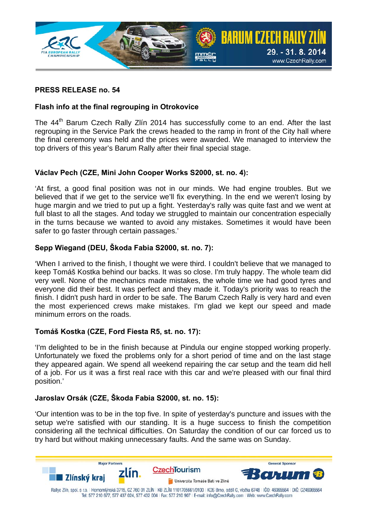

# **PRESS RELEASE no. 54**

# **Flash info at the final regrouping in Otrokovice**

The 44<sup>th</sup> Barum Czech Rally Zlín 2014 has successfully come to an end. After the last regrouping in the Service Park the crews headed to the ramp in front of the City hall where the final ceremony was held and the prices were awarded. We managed to interview the top drivers of this year's Barum Rally after their final special stage.

### **Václav Pech (CZE, Mini John Cooper Works S2000, st. no. 4):**

'At first, a good final position was not in our minds. We had engine troubles. But we believed that if we get to the service we'll fix everything. In the end we weren't losing by huge margin and we tried to put up a fight. Yesterday's rally was quite fast and we went at full blast to all the stages. And today we struggled to maintain our concentration especially in the turns because we wanted to avoid any mistakes. Sometimes it would have been safer to go faster through certain passages.'

### **Sepp Wiegand (DEU, Škoda Fabia S2000, st. no. 7):**

'When I arrived to the finish, I thought we were third. I couldn't believe that we managed to keep Tomáš Kostka behind our backs. It was so close. I'm truly happy. The whole team did very well. None of the mechanics made mistakes, the whole time we had good tyres and everyone did their best. It was perfect and they made it. Today's priority was to reach the finish. I didn't push hard in order to be safe. The Barum Czech Rally is very hard and even the most experienced crews make mistakes. I'm glad we kept our speed and made minimum errors on the roads.

#### **Tomáš Kostka (CZE, Ford Fiesta R5, st. no. 17):**

'I'm delighted to be in the finish because at Pindula our engine stopped working properly. Unfortunately we fixed the problems only for a short period of time and on the last stage they appeared again. We spend all weekend repairing the car setup and the team did hell of a job. For us it was a first real race with this car and we're pleased with our final third position.'

# **Jaroslav Orsák (CZE, Škoda Fabia S2000, st. no. 15):**

'Our intention was to be in the top five. In spite of yesterday's puncture and issues with the setup we're satisfied with our standing. It is a huge success to finish the competition considering all the technical difficulties. On Saturday the condition of our car forced us to try hard but without making unnecessary faults. And the same was on Sunday.

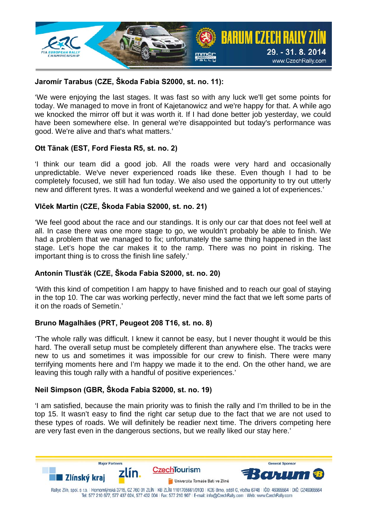

### **Jaromír Tarabus (CZE, Škoda Fabia S2000, st. no. 11):**

'We were enjoying the last stages. It was fast so with any luck we'll get some points for today. We managed to move in front of Kajetanowicz and we're happy for that. A while ago we knocked the mirror off but it was worth it. If I had done better job yesterday, we could have been somewhere else. In general we're disappointed but today's performance was good. We're alive and that's what matters.'

#### **Ott Tänak (EST, Ford Fiesta R5, st. no. 2)**

'I think our team did a good job. All the roads were very hard and occasionally unpredictable. We've never experienced roads like these. Even though I had to be completely focused, we still had fun today. We also used the opportunity to try out utterly new and different tyres. It was a wonderful weekend and we gained a lot of experiences.'

### **Vlček Martin (CZE, Škoda Fabia S2000, st. no. 21)**

'We feel good about the race and our standings. It is only our car that does not feel well at all. In case there was one more stage to go, we wouldn't probably be able to finish. We had a problem that we managed to fix; unfortunately the same thing happened in the last stage. Let's hope the car makes it to the ramp. There was no point in risking. The important thing is to cross the finish line safely.'

# **Antonín Tlusťák (CZE, Škoda Fabia S2000, st. no. 20)**

'With this kind of competition I am happy to have finished and to reach our goal of staying in the top 10. The car was working perfectly, never mind the fact that we left some parts of it on the roads of Semetín.'

#### **Bruno Magalhães (PRT, Peugeot 208 T16, st. no. 8)**

'The whole rally was difficult. I knew it cannot be easy, but I never thought it would be this hard. The overall setup must be completely different than anywhere else. The tracks were new to us and sometimes it was impossible for our crew to finish. There were many terrifying moments here and I'm happy we made it to the end. On the other hand, we are leaving this tough rally with a handful of positive experiences.'

# **Neil Simpson (GBR, Škoda Fabia S2000, st. no. 19)**

'I am satisfied, because the main priority was to finish the rally and I'm thrilled to be in the top 15. It wasn't easy to find the right car setup due to the fact that we are not used to these types of roads. We will definitely be readier next time. The drivers competing here are very fast even in the dangerous sections, but we really liked our stay here.'